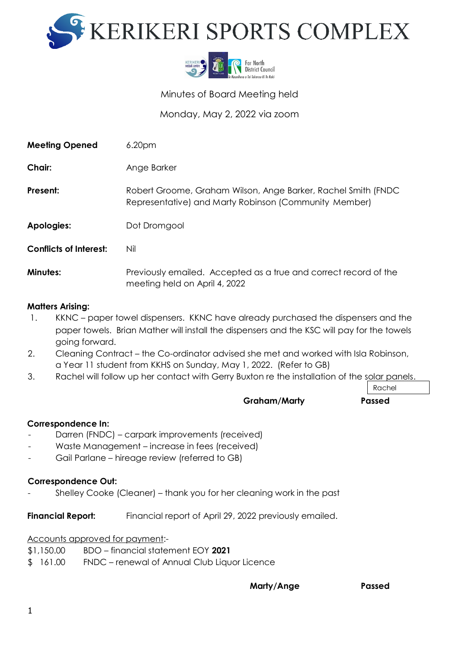



Minutes of Board Meeting held

Monday, May 2, 2022 via zoom

| <b>Meeting Opened</b>         | 6.20 <sub>pm</sub>                                                                                                     |
|-------------------------------|------------------------------------------------------------------------------------------------------------------------|
| Chair:                        | Ange Barker                                                                                                            |
| Present:                      | Robert Groome, Graham Wilson, Ange Barker, Rachel Smith (FNDC<br>Representative) and Marty Robinson (Community Member) |
| Apologies:                    | Dot Dromgool                                                                                                           |
| <b>Conflicts of Interest:</b> | Nil                                                                                                                    |
| <b>Minutes:</b>               | Previously emailed. Accepted as a true and correct record of the<br>meeting held on April 4, 2022                      |

## **Matters Arising:**

- 1. KKNC paper towel dispensers. KKNC have already purchased the dispensers and the paper towels. Brian Mather will install the dispensers and the KSC will pay for the towels going forward.
- 2. Cleaning Contract the Co-ordinator advised she met and worked with Isla Robinson, a Year 11 student from KKHS on Sunday, May 1, 2022. (Refer to GB)
- 3. Rachel will follow up her contact with Gerry Buxton re the installation of the solar panels.

Rachel

# **Graham/Marty Passed**

### **Correspondence In:**

- Darren (FNDC) carpark improvements (received)
- Waste Management increase in fees (received)
- Gail Parlane hireage review (referred to GB)

#### **Correspondence Out:**

- Shelley Cooke (Cleaner) – thank you for her cleaning work in the past

**Financial Report:** Financial report of April 29, 2022 previously emailed.

Accounts approved for payment:-

- \$1,150.00 BDO financial statement EOY **2021**
- \$ 161.00 FNDC renewal of Annual Club Liquor Licence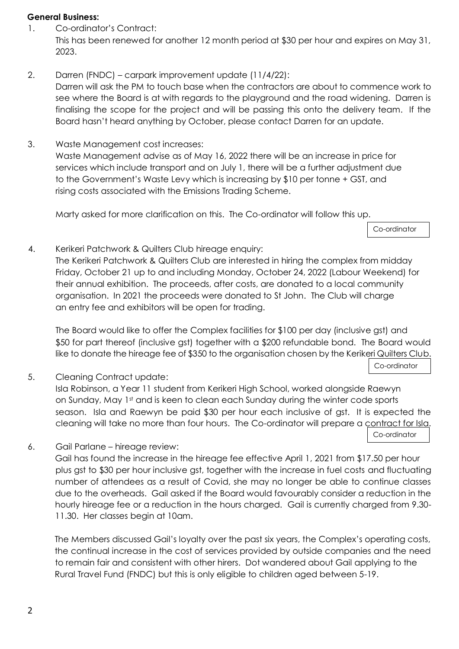#### **General Business:**

- 1. Co-ordinator's Contract: This has been renewed for another 12 month period at \$30 per hour and expires on May 31, 2023.
- 2. Darren (FNDC) carpark improvement update (11/4/22): Darren will ask the PM to touch base when the contractors are about to commence work to see where the Board is at with regards to the playground and the road widening. Darren is finalising the scope for the project and will be passing this onto the delivery team. If the Board hasn't heard anything by October, please contact Darren for an update.
- 3. Waste Management cost increases: Waste Management advise as of May 16, 2022 there will be an increase in price for services which include transport and on July 1, there will be a further adjustment due to the Government's Waste Levy which is increasing by \$10 per tonne + GST, and rising costs associated with the Emissions Trading Scheme.

Marty asked for more clarification on this. The Co-ordinator will follow this up.

Co-ordinator

4. Kerikeri Patchwork & Quilters Club hireage enquiry:

The Kerikeri Patchwork & Quilters Club are interested in hiring the complex from midday Friday, October 21 up to and including Monday, October 24, 2022 (Labour Weekend) for their annual exhibition. The proceeds, after costs, are donated to a local community organisation. In 2021 the proceeds were donated to St John. The Club will charge an entry fee and exhibitors will be open for trading.

The Board would like to offer the Complex facilities for \$100 per day (inclusive gst) and \$50 for part thereof (inclusive gst) together with a \$200 refundable bond. The Board would like to donate the hireage fee of \$350 to the organisation chosen by the Kerikeri Quilters Club.

Co-ordinator

5. Cleaning Contract update:

Isla Robinson, a Year 11 student from Kerikeri High School, worked alongside Raewyn on Sunday, May 1st and is keen to clean each Sunday during the winter code sports season. Isla and Raewyn be paid \$30 per hour each inclusive of gst. It is expected the cleaning will take no more than four hours. The Co-ordinator will prepare a contract for Isla. Co-ordinator

6. Gail Parlane – hireage review:

Gail has found the increase in the hireage fee effective April 1, 2021 from \$17.50 per hour plus gst to \$30 per hour inclusive gst, together with the increase in fuel costs and fluctuating number of attendees as a result of Covid, she may no longer be able to continue classes due to the overheads. Gail asked if the Board would favourably consider a reduction in the hourly hireage fee or a reduction in the hours charged. Gail is currently charged from 9.30- 11.30. Her classes begin at 10am.

The Members discussed Gail's loyalty over the past six years, the Complex's operating costs, the continual increase in the cost of services provided by outside companies and the need to remain fair and consistent with other hirers. Dot wandered about Gail applying to the Rural Travel Fund (FNDC) but this is only eligible to children aged between 5-19.